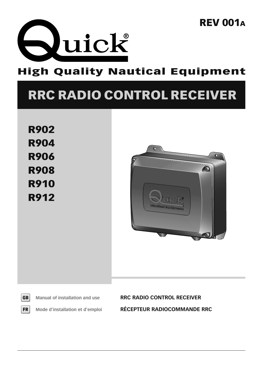

### **High Quality Nautical Equipment**

# **RRC RADIO CONTROL RECEIVER**

**R902 R904 R906 R908 R910 R912** 





**Manual of installation and use RRC RADIO CONTROL RECEIVER Mode d'installation et d'emploi RÉCEPTEUR RADIOCOMMANDE RRC**

### **REV 001A**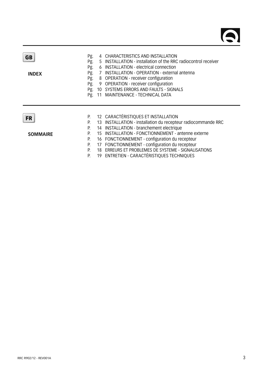| GB<br><b>INDEX</b>           | Pg.<br>Pg.<br>Pg.<br>Pg.<br>Pg.<br>Pg.<br>Pg.<br>Pg. |          | 4 CHARACTERISTICS AND INSTALLATION<br>5 INSTALLATION - installation of the RRC radiocontrol receiver<br>6 INSTALLATION - electrical connection<br>7 INSTALLATION - OPERATION - external antenna<br>8 OPERATION - receiver configuration<br>9 OPERATION - receiver configuration<br>10 SYSTEMS ERRORS AND FAULTS - SIGNALS<br>11 MAINTENANCE - TECHNICAL DATA                                              |
|------------------------------|------------------------------------------------------|----------|-----------------------------------------------------------------------------------------------------------------------------------------------------------------------------------------------------------------------------------------------------------------------------------------------------------------------------------------------------------------------------------------------------------|
| <b>FR</b><br><b>SOMMAIRE</b> |                                                      | 15<br>18 | 12 CARACTÉRISTIQUES ET INSTALLATION<br>13 INSTALLATION - installation du recepteur radiocommande RRC<br>14 INSTALLATION - branchement electrique<br>INSTALLATION - FONCTIONNEMENT - antenne externe<br>16 FONCTIONNEMENT - configuration du recepteur<br>17 FONCTIONNEMENT - configuration du recepteur<br>ERREURS ET PROBLEMES DE SYSTEME - SIGNALISATIONS<br>19 ENTRETIEN - CARACTÉRISTIOUES TECHNIOUES |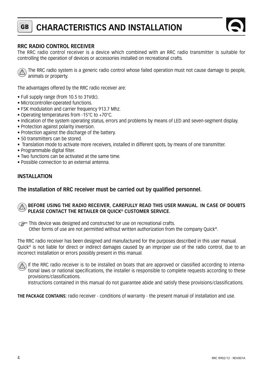### **GB CHARACTERISTICS AND INSTALLATION**



#### **RRC RADIO CONTROL RECEIVER**

The RRC radio control receiver is a device which combined with an RRC radio transmitter is suitable for controlling the operation of devices or accessories installed on recreational crafts.



The RRC radio system is a generic radio control whose failed operation must not cause damage to people, animals or property.

The advantages offered by the RRC radio receiver are:

- Full supply range (from 10.5 to 31Vdc).
- Microcontroller-operated functions.
- FSK modulation and carrier frequency 913.7 Mhz.
- Operating temperatures from -15°C to +70°C.
- Indication of the system operating status, errors and problems by means of LED and seven-segment display.
- Protection against polarity inversion.
- Protection against the discharge of the battery.
- 50 transmitters can be stored.
- Translation mode to activate more receivers, installed in different spots, by means of one transmitter.
- Programmable digital filter.
- Two functions can be activated at the same time.
- Possible connection to an external antenna.

#### **INSTALLATION**

#### The installation of RRC receiver must be carried out by qualified personnel.

#### **BEFORE USING THE RADIO RECEIVER, CAREFULLY READ THIS USER MANUAL. IN CASE OF DOUBTS PLEASE CONTACT THE RETAILER OR QUICK® CUSTOMER SERVICE.**

This device was designed and constructed for use on recreational crafts.<br>Other forms of use are not permitted without written authorization from Other forms of use are not permitted without written authorization from the company Quick®.

The RRC radio receiver has been designed and manufactured for the purposes described in this user manual. Quick® is not liable for direct or indirect damages caused by an improper use of the radio control, due to an incorrect installation or errors possibly present in this manual.

If the RRC radio receiver is to be installed on boats that are approved or classified according to international laws or national specifications, the installer is responsible to complete requests according to these provisions/classifications.

Instructions contained in this manual do not guarantee abide and satisfy these provisions/classifications.

**THE PACKAGE CONTAINS:** radio receiver - conditions of warranty - the present manual of installation and use.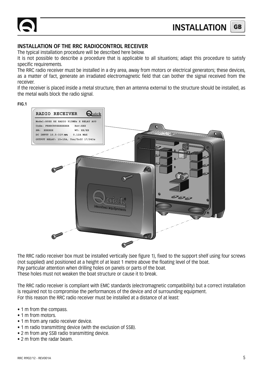#### **INSTALLATION OF THE RRC RADIOCONTROL RECEIVER**

The typical installation procedure will be described here below.

It is not possible to describe a procedure that is applicable to all situations; adapt this procedure to satisfy specific requirements.

The RRC radio receiver must be installed in a dry area, away from motors or electrical generators; these devices, as a matter of fact, generate an irradiated electromagnetic field that can bother the signal received from the receiver.

If the receiver is placed inside a metal structure, then an antenna external to the structure should be installed, as the metal walls block the radio signal.

#### **FIG.1**



The RRC radio receiver box must be installed vertically (see figure 1), fixed to the support shelf using four screws (not supplied) and positioned at a height of at least 1 metre above the floating level of the boat. Pay particular attention when drilling holes on panels or parts of the boat. These holes must not weaken the boat structure or cause it to break.

The RRC radio receiver is compliant with EMC standards (electromagnetic compatibility) but a correct installation is required not to compromise the performances of the device and of surrounding equipment. For this reason the RRC radio receiver must be installed at a distance of at least:

- 1 m from the compass.
- 1 m from motors.
- 1 m from any radio receiver device.
- 1 m radio transmitting device (with the exclusion of SSB).
- 2 m from any SSB radio transmitting device.
- 2 m from the radar beam.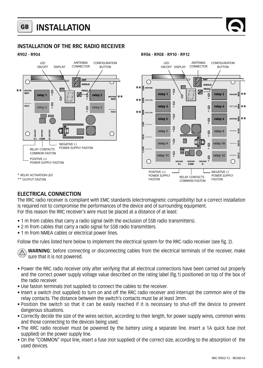#### **GB INSTALLATION**

#### **INSTALLATION OF THE RRC RADIO RECEIVER**

**R902 - R904 R906 - R908 - R910 - R912**



#### **ELECTRICAL CONNECTION**

The RRC radio receiver is compliant with EMC standards (electromagnetic compatibility) but a correct installation is required not to compromise the performances of the device and of surrounding equipment. For this reason the RRC receiver's wire must be placed at a distance of at least:

- 1 m from cables that carry a radio signal (with the exclusion of SSB radio transmitters).
- 2 m from cables that carry a radio signal for SSB radio transmitters.
- 1 m from NMEA cables or electrical power lines.

Follow the rules listed here below to implement the electrical system for the RRC radio receiver (see fig. 2).

**WARNING:** before connecting or disconnecting cables from the electrical terminals of the receiver, make sure that it is not powered.

- Power the RRC radio receiver only after verifying that all electrical connections have been carried out properly and the correct power supply voltage value described on the rating label (fig. 1) positioned on top of the box of the radio receiver.
- Use faston terminals (not supplied) to connect the cables to the receiver.
- Insert a switch (not supplied) to turn on and off the RRC radio receiver and interrupt the common wire of the relay contacts. The distance between the switch's contacts must be at least 3mm.
- Position the switch so that it can be easily reached if it is necessary to shut-off the device to prevent dangerous situations.
- Correctly decide the size of the wires section, according to their length, for power supply wires, common wires and those connecting to the devices being used.
- The RRC radio receiver must be powered by the battery using a separate line. Insert a 1A quick fuse (not supplied) on the power supply line.
- On the "COMMON" input line, insert a fuse (not supplied) of the correct size, according to the absorption of the used devices.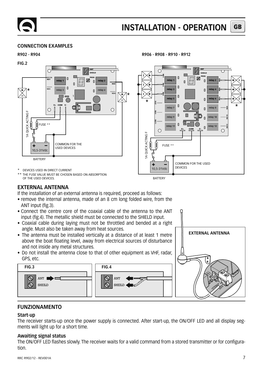#### **CONNECTION EXAMPLES**



**R902 - R904 R906 - R908 - R910 - R912**



THE FUSE VALUE MUST BE CHOSEN BASED ON ABSORPTION OF THE USED DEVICES.

#### **EXTERNAL ANTENNA**

If the installation of an external antenna is required, proceed as follows:

- remove the internal antenna, made of an 8 cm long folded wire, from the ANT input (fig.3).
- Connect the centre core of the coaxial cable of the antenna to the ANT input (fig.4). The metallic shield must be connected to the SHIELD input.
- Coaxial cable during laying must not be throttled and bended at a right angle. Must also be taken away from heat sources.
- The antenna must be installed vertically at a distance of at least 1 metre above the boat floating level, away from electrical sources of disturbance and not inside any metal structures.
- Do not install the antenna close to that of other equipment as VHF, radar, GPS, etc.





#### **FUNZIONAMENTO**

#### **Start-up**

The receiver starts-up once the power supply is connected. After start-up, the ON/OFF LED and all display segments will light up for a short time.

#### **Awaiting signal status**

The ON/OFF LED flashes slowly. The receiver waits for a valid command from a stored transmitter or for configuration.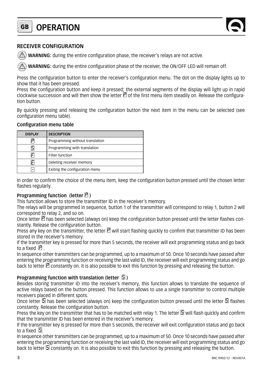#### **GB OPERATION**

#### **RECEIVER CONFIGURATION**

**WARNING:** during the entire configuration phase, the receiver's relays are not active.

WARNING: during the entire configuration phase of the receiver, the ON/OFF LED will remain off.

Press the configuration button to enter the receiver's configuration menu. The dot on the display lights up to show that it has been pressed.

Press the configuration button and keep it pressed; the external segments of the display will light up in rapid clockwise succession and will then show the letter  $\Box$  of the first menu item steadily on. Release the configuration button.

By quickly pressing and releasing the configuration button the next item in the menu can be selected (see configuration menu table).

#### **Configuration menu table**

| <b>DISPLAY</b> | <b>DESCRIPTION</b>              |
|----------------|---------------------------------|
|                | Programming without translation |
|                | Programming with translation    |
|                | Filter function                 |
| F              | Deleting receiver memory        |
|                | Exiting the configuration menu  |

In order to confirm the choice of the menu item, keep the configuration button pressed until the chosen letter flashes regularly.

#### **Programming function (letter )**

This function allows to store the transmitter ID in the receiver's memory.

The relays will be programmed in sequence, button 1 of the transmitter will correspond to relay 1, button 2 will correspond to relay 2, and so on.

Once letter  $\Xi$  has been selected (always on) keep the configuration button pressed until the letter flashes constantly. Release the configuration button.

Press any key on the transmitter, the letter  $\mathcal C$  will start flashing quickly to confirm that transmitter ID has been stored in the receiver's memory.

If the transmitter key is pressed for more than 5 seconds, the receiver will exit programming status and go back to a fixed  $\boxed{P}$ 

In sequence other transmitters can be programmed, up to a maximum of 50. Once 10 seconds have passed after entering the programming function or receiving the last valid ID, the receiver will exit programming status and go back to letter  $\mathbb E$  constantly on. It is also possible to exit this function by pressing and releasing the button.

#### **Programming function with translation (letter**  $\mathbb{S}$ **)**

Besides storing transmitter ID into the receiver's memory, this function allows to translate the sequence of active relays based on the button pressed. This function allows to use a single transmitter to control multiple receivers placed in different spots.

Once letter  $\mathbb S$  has been selected (always on) keep the configuration button pressed until the letter  $\mathbb S$  flashes constantly. Release the configuration button.

Press the key on the transmitter that has to be matched with relay 1. The letter  $\Box$  will flash quickly and confirm that the transmitter ID has been entered in the receiver's memory.

If the transmitter key is pressed for more than 5 seconds, the receiver will exit configuration status and go back to a fixed  $\boxed{5}$ 

In sequence other transmitters can be programmed, up to a maximum of 50. Once 10 seconds have passed after entering the programming function or receiving the last valid ID, the receiver will exit programming status and go back to letter  $\Box$  constantly on. It is also possible to exit this function by pressing and releasing the button.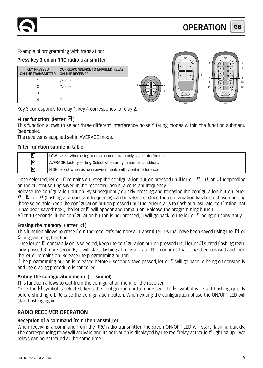Example of programming with translation:

#### **Press key 3 on an RRC radio transmitter.**

| <b>KEY PRESSED</b><br><b>ON THE TRANSMITTER</b> | <b>CORRESPONDENCE TO ENABLED RELAY</b><br><b>ON THE RECEIVER</b> |  |  |  |
|-------------------------------------------------|------------------------------------------------------------------|--|--|--|
|                                                 | (None)                                                           |  |  |  |
|                                                 | (None)                                                           |  |  |  |
|                                                 |                                                                  |  |  |  |
|                                                 |                                                                  |  |  |  |



Key 3 corresponds to relay 1, key 4 corresponds to relay 2.

#### **Filter function (letter**  $E$ **)**

This function allows to select three different interference noise filtering modes within the function submenu (see table).

The receiver is supplied set in AVERAGE mode.

#### **Filter function submenu table**

| E | LOW: select when using in environments with only slight interference |
|---|----------------------------------------------------------------------|
| Я | AVERAGE: factory setting. Select when using in normal conditions     |
| П | HIGH: select when using in environments with great interference      |

Once selected, letter  $\Xi$  remains on; keep the configuration button pressed until letter  $\Box$ ,  $\Box$  or  $\Box$  (depending on the current setting saved in the receiver) flash at a constant frequency.

Release the configuration button. By subsequently quickly pressing and releasing the configuration button letter  $\boxtimes$ ,  $\square$  or  $\square$  (flashing at a constant frequency) can be selected. Once the configuration has been chosen among those selectable, keep the configuration button pressed until the letter starts to flash at a fast rate, confirming that it has been saved; next, the letter  $\mathbb E$  will appear and remain on. Release the programming button

After 10 seconds, if the configuration button is not pressed, it will go back to the letter  $\overline{F}$  being on constantly.

#### **Erasing the memory (letter**  $\Box$ **)**

This function allows to erase from the receiver's memory all transmitter IDs that have been saved using the  $\boxtimes$  or **5** programming function.

Once letter  $\Xi$  constantly on is selected, keep the configuration button pressed until letter  $\Xi$  stored flashing regularly, passed 3 more seconds, it will start flashing at a faster rate. This confirms that it has been erased and then the letter remains on. Release the programming button.

If the programming button is released before 5 seconds have passed, letter  $E$  will go back to being on constantly and the erasing procedure is cancelled.

#### **Exiting the configuration menu (** $\Box$  **simbol)**

This function allows to exit from the configuration menu of the receiver.

Once the  $\Box$  symbol is selected, keep the configuration button pressed, the  $\Box$  symbol will start flashing quickly before shutting off. Release the configuration button. When exiting the configuration phase the ON/OFF LED will start flashing again.

#### **RADIO RECEIVER OPERATION**

#### **Reception of a command from the transmitter**

When receiving a command from the RRC radio transmitter, the green ON/OFF LED will start flashing quickly. The corresponding relay will activate and its activation is displayed by the red "relay activation" lighting up. Two relays can be activated at the same time.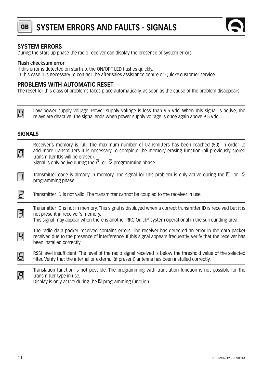



#### **SYSTEM ERRORS**

During the start-up phase the radio receiver can display the presence of system errors.

#### **Flash checksum error**

If this error is detected on start-up, the ON/OFF LED flashes quickly.

In this case it is necessary to contact the after-sales assistance centre or Quick® customer service.

#### **PROBLEMS WITH AUTOMATIC RESET**

The reset for this class of problems takes place automatically, as soon as the cause of the problem disappears.

| $\overline{\mathcal{L}'}$ | Low power supply voltage. Power supply voltage is less than 9.5 Vdc. When this signal is active, the |
|---------------------------|------------------------------------------------------------------------------------------------------|
|                           | relays are deactive. The signal ends when power supply voltage is once again above 9.5 Vdc           |

#### **SIGNALS**

| $\boldsymbol{\varOmega}$ | Receiver's memory is full. The maximum number of transmitters has been reached (50). In order to<br>add more transmitters it is necessary to complete the memory erasing function (all previously stored<br>transmitter IDs will be erased).<br>Signal is only active during the $\Box$ or $\Box$ programming phase. |
|--------------------------|----------------------------------------------------------------------------------------------------------------------------------------------------------------------------------------------------------------------------------------------------------------------------------------------------------------------|
| $\vert \ \vert$          | Transmitter code is already in memory. The signal for this problem is only active during the $\boxtimes$ or $\boxtimes$<br>programming phase.                                                                                                                                                                        |
| 2                        | Transmitter ID is not valid. The transmitter cannot be coupled to the receiver in use.                                                                                                                                                                                                                               |
| 3                        | Transmitter ID is not in memory. This signal is displayed when a correct transmitter ID is received but it is<br>not present in receiver's memory.<br>This signal may appear when there is another RRC Quick <sup>®</sup> system operational in the surrounding area                                                 |
| $\overline{\mathbf{z}}$  | The radio data packet received contains errors. The receiver has detected an error in the data packet<br>received due to the presence of interference. If this signal appears frequently, verify that the receiver has<br>been installed correctly.                                                                  |
| $\overline{5}$           | RSSI level insufficient. The level of the radio signal received is below the threshold value of the selected<br>filter. Verify that the internal or external (if present) antenna has been installed correctly.                                                                                                      |
| 8                        | Translation function is not possible. The programming with translation function is not possible for the<br>transmitter type in use.<br>Display is only active during the $5$ programming function.                                                                                                                   |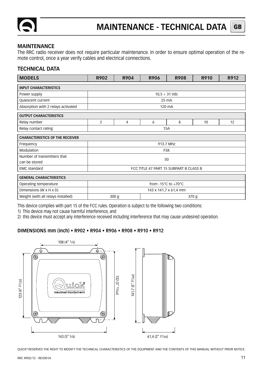

#### **MAINTENANCE**

The RRC radio receiver does not require particular maintenance. In order to ensure optimal operation of the remote control, once a year verify cables and electrical connections.

#### **TECHNICAL DATA**

| <b>MODELS</b>                                | R902                                    | R904 | <b>R906</b> | <b>R908</b>        | R910 | R912 |  |
|----------------------------------------------|-----------------------------------------|------|-------------|--------------------|------|------|--|
| <b>INPUT CHARACTERISTICS</b>                 |                                         |      |             |                    |      |      |  |
| Power supply                                 |                                         |      |             | $10,5 \div 31$ Vdc |      |      |  |
| Quiescent current                            |                                         |      |             | 25 mA              |      |      |  |
| Absorption with 2 relays activated           |                                         |      |             | 120 mA             |      |      |  |
| <b>OUTPUT CHARACTERISTICS</b>                |                                         |      |             |                    |      |      |  |
| Relay number                                 | $\overline{2}$                          | 4    | 6           | 8                  | 10   | 12   |  |
| Relay contact rating                         | <b>15A</b>                              |      |             |                    |      |      |  |
| <b>CHARACTERISTICS OF THE RECEIVER</b>       |                                         |      |             |                    |      |      |  |
| Frequency                                    |                                         |      |             | 913.7 Mhz          |      |      |  |
| Modulation                                   | <b>FSK</b>                              |      |             |                    |      |      |  |
| Number of transmitters that<br>can be stored | 50                                      |      |             |                    |      |      |  |
| <b>EMC</b> standard                          | FCC TITLE 47 PART 15 SUBPART B CLASS B  |      |             |                    |      |      |  |
| <b>GENERAL CHARACTERISTICS</b>               |                                         |      |             |                    |      |      |  |
| Operating temperature                        | from -15 $\degree$ C to +70 $\degree$ C |      |             |                    |      |      |  |
| Dimensions (W x H x D)                       | 143 x 141,7 x 61,4 mm                   |      |             |                    |      |      |  |
| Weight (with all relays installed)           | 300 <sub>g</sub><br>370 g               |      |             |                    |      |      |  |

This device complies with part 15 of the FCC rules. Operation is subject to the following two conditions:

1) This device may not cause harmful interference, and

2) this device must accept any interference received including interference that may cause undesired operation.

#### **DIMENSIONS mm (inch) • R902 • R904 • R906 • R908 • R910 • R912**



OUICK® RESERVES THE RIGHT TO MODIFY THE TECHNICAL CHARACTERISTICS OF THE EOUIPMENT AND THE CONTENTS OF THIS MANUAL WITHOUT PRIOR NOTICE.

**GB**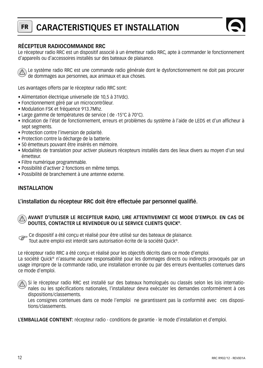### **FR CARACTERISTIQUES ET INSTALLATION**



#### **RÉCEPTEUR RADIOCOMMANDE RRC**

Le récepteur radio RRC est un dispositif associé à un émetteur radio RRC, apte à commander le fonctionnement d'appareils ou d'accessoires installés sur des bateaux de plaisance.

Le système radio RRC est une commande radio générale dont le dysfonctionnement ne doit pas procurer de dommages aux personnes, aux animaux et aux choses.

Les avantages offerts par le récepteur radio RRC sont:

- Alimentation électrique universelle (de 10,5 à 31Vdc).
- Fonctionnement géré par un microcontrôleur.
- Modulation FSK et fréquence 913.7Mhz.
- Large gamme de températures de service ( de -15°C à 70°C).
- Indication de l'état de fonctionnement, erreurs et problèmes du système à l'aide de LEDS et d'un afficheur à sept segments.
- Protection contre l'inversion de polarité.
- Protection contre la décharge de la batterie.
- 50 émetteurs pouvant être insérés en mémoire.
- Modalités de translation pour activer plusieurs récepteurs installés dans des lieux divers au moyen d'un seul émetteur.
- Filtre numérique programmable.
- Possibilité d'activer 2 fonctions en même temps.
- Possibilité de branchement à une antenne externe.

#### **INSTALLATION**

#### L'installation du récepteur RRC doit être effectuée par personnel qualifié.

#### **AVANT D'UTILISER LE RECEPTEUR RADIO, LIRE ATTENTIVEMENT CE MODE D'EMPLOI. EN CAS DE**  W **DOUTES, CONTACTER LE REVENDEUR OU LE SERVICE CLIENTS QUICK®.**

Ce dispositif a été conçu et réalisé pour être utilisé sur des bateaux de plaisance. **F** 

Tout autre emploi est interdit sans autorisation écrite de la société Quick®.

Le récepteur radio RRC a été concu et réalisé pour les objectifs décrits dans ce mode d'emploi.

La société Quick® n'assume aucune responsabilité pour les dommages directs ou indirects provoqués par un usage impropre de la commande radio, une installation erronée ou par des erreurs éventuelles contenues dans ce mode d'emploi.

 $\widehat{A}$ ) Si le récepteur radio RRC est installé sur des bateaux homologués ou classés selon les lois internationales ou les spécifications nationales, l'installateur devra exécuter les demandes conformément à ces dispositions/classements.

Les consignes contenues dans ce mode l'emploi ne garantissent pas la conformité avec ces dispositions/classements.

**L'EMBALLAGE CONTIENT:** récepteur radio - conditions de garantie - le mode d'installation et d'emploi.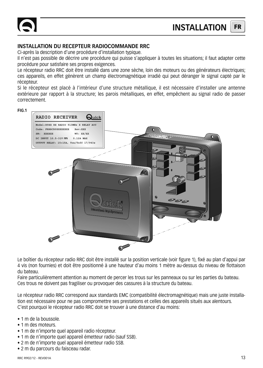#### **INSTALLATION DU RECEPTEUR RADIOCOMMANDE RRC**

Ci-après la description d'une procédure d'installation typique.

Il n'est pas possible de décrire une procédure qui puisse s'appliquer à toutes les situations; il faut adapter cette procédure pour satisfaire ses propres exigences.

Le récepteur radio RRC doit être installé dans une zone sèche, loin des moteurs ou des générateurs électriques; ces appareils, en effet génèrent un champ électromagnétique irradié qui peut déranger le signal capté par le récepteur.

Si le récepteur est placé à l'intérieur d'une structure métallique, il est nécessaire d'installer une antenne extérieure par rapport à la structure; les parois métalliques, en effet, empêchent au signal radio de passer correctement.

**FIG.1**



Le boîtier du récepteur radio RRC doit être installé sur la position verticale (voir figure 1), fixé au plan d'appui par 4 vis (non fournies) et doit être positionné à une hauteur d'au moins 1 mètre au-dessus du niveau de flottaison du bateau.

Faire particulièrement attention au moment de percer les trous sur les panneaux ou sur les parties du bateau. Ces trous ne doivent pas fragiliser ou provoquer des cassures à la structure du bateau.

Le récepteur radio RRC correspond aux standards EMC (compatibilité électromagnétique) mais une juste installation est nécessaire pour ne pas compromettre ses prestations et celles des appareils situés aux alentours. C'est pourquoi le récepteur radio RRC doit se trouver à une distance d'au moins:

- 1 m de la boussole.
- 1 m des moteurs.
- 1 m de n'importe quel appareil radio récepteur.
- 1 m de n'importe quel appareil émetteur radio (sauf SSB).
- 2 m de n'importe quel appareil émetteur radio SSB.
- 2 m du parcours du faisceau radar.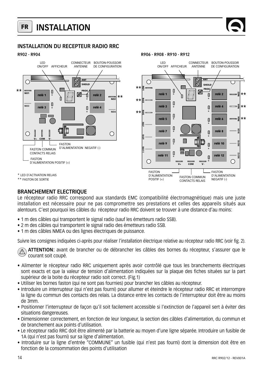#### **FR INSTALLATION**

<u>ة —</u> **NO4**

 $\overline{\phantom{0}}$ 

 $\rightarrow$ 

 $\overline{a}$ 

**NO6 \*\* NO8**

**\*\* \*\***

**NO10 NO12**

C

FASTON D'ALIMENTATION NEGATIF (-)

#### **INSTALLATION DU RECEPTEUR RADIO RRC**

**R902 - R904 R906 - R908 - R910 - R912**



#### **BRANCHEMENT ELECTRIQUE**

Le récepteur radio RRC correspond aux standards EMC (compatibilité électromagnétique) mais une juste installation est nécessaire pour ne pas compromettre ses prestations et celles des appareils situés aux alentours. C'est pourquoi les câbles du récepteur radio RRC doivent se trouver à une distance d'au moins:

- 1 m des câbles qui transportent le signal radio (sauf les émetteurs radio SSB).
- 2 m des câbles qui transportent le signal radio des émetteurs radio SSB.
- 1 m des câbles NMEA ou des lignes électriques de puissance.

Suivre les consignes indiquées ci-après pour réaliser l'installation électrique relative au récepteur radio RRC (voir fig. 2).

**ATTENTION:** avant de brancher ou de débrancher les câbles des bornes du récepteur, s'assurer que le courant soit coupé.

- Alimenter le récepteur radio RRC uniquement après avoir contrôlé que tous les branchements électriques sont exacts et que la valeur de tension d'alimentation indiquées sur la plaque des fiches situées sur la part supérieur de la boite du récepteur radio soit correct. (Fig.1)
- Utiliser les bornes faston (qui ne sont pas fournies) pour brancher les câbles au récepteur.
- Introduire un interrupteur (qui n'est pas fourni) pour allumer et éteindre le récepteur radio RRC et interrompre la ligne du commun des contacts des relais. La distance entre les contacts de l'interrupteur doit être au moins de 3mm.
- Positionner l'interrupteur de façon qu'il soit facilement accessible si l'extinction de l'appareil sert à éviter des situations dangereuses.
- Dimensionner correctement, en fonction de leur longueur, la section des câbles d'alimentation, du commun et de branchement aux points d'utilisation.
- Le récepteur radio RRC doit être alimenté par la batterie au moyen d'une ligne séparée. Introduire un fusible de 1A (qui n'est pas fourni) sur sa ligne d'alimentation.
- Introduire sur la ligne d'entrée "COMMUNE" un fusible (qui n'est pas fourni) dont la dimension doit être en fonction de la consommation des points d'utilisation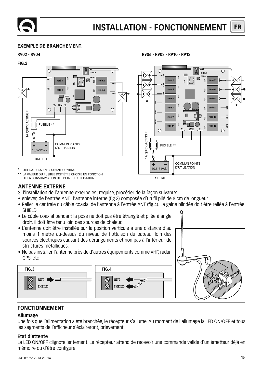#### **EXEMPLE DE BRANCHEMENT:**



\* UTILISATEURS EN COURANT CONTINU

LA VALEUR DU FUSIBLE DOIT ÊTRE CHOISIE EN FONCTION DE LA CONSOMMATION DES POINTS D'UTILISATION.

#### **NO6 rele 5 rele** 6  $*$   $*$   $*$   $*$   $*$   $*$   $*$   $*$   $*$ **relè 7 relè 8 NO10 rele 9 a rele** 9 **rele** 10 **NO12 relè 11 relè 12 V+ V-COM**  $\bigcap$ COMMUN POINTS ÷ D'UTILISATION 10,5-31Vdc **BATTERIE**

**SHEILD PROG**

**ANT**

**NO2 NO4**

#### **ANTENNE EXTERNE**

Si l'installation de l'antenne externe est requise, procéder de la façon suivante:

- enlever, de l'entrée ANT. l'antenne interne (fig.3) composée d'un fil plié de 8 cm de longueur.
- Relier le centrale du câble coaxial de l'antenne à l'entrée ANT (fig.4). La gaine blindée doit être reliée à l'entrée SHIFLD.
- Le câble coaxial pendant la pose ne doit pas être étranglé et pliée à angle droit. Il doit être tenu loin des sources de chaleur.
- L'antenne doit être installée sur la position verticale à une distance d'au moins 1 mètre au-dessus du niveau de flottaison du bateau, loin des sources électriques causant des dérangements et non pas à l'intérieur de structures métalliques.
- Ne pas installer l'antenne près de d'autres équipements comme VHF, radar, GPS, etc



#### **FONCTIONNEMENT**

#### **Allumage**

Une fois que l'alimentation a été branchée, le récepteur s'allume. Au moment de l'allumage la LED ON/OFF et tous les segments de l'afficheur s'éclaireront, brièvement.

#### **Etat d'attente**

La LED ON/OFF clignote lentement. Le récepteur attend de recevoir une commande valide d'un émetteur déjà en mémoire ou d'être configuré.

**R902 - R904 R906 - R908 - R910 - R912**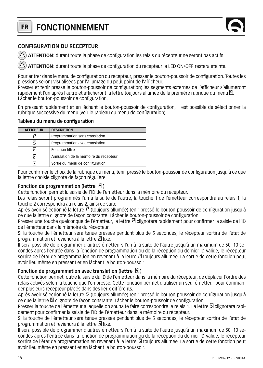#### **FR FONCTIONNEMENT**



#### **CONFIGURATION DU RECEPTEUR**

ATTENTION: durant toute la phase de configuration les relais du récepteur ne seront pas actifs.

ATTENTION: durant toute la phase de configuration du récepteur la LED ON/OFF restera éteinte.

Pour entrer dans le menu de configuration du récepteur, presser le bouton-poussoir de configuration. Toutes les pressions seront visualisées par l'allumage du petit point de l'afficheur.

Presser et tenir pressé le bouton-poussoir de configuration; les segments externes de l'afficheur s'allumeront rapidement l'un après l'autre et afficheront la lettre toujours allumée de la première rubrique du menu  $\mathbb E$ . Lâcher le bouton-poussoir de configuration.

En pressant rapidement et en lâchant le bouton-poussoir de configuration, il est possible de sélectionner la rubrique successive du menu (voir le tableau du menu de configuration).

#### **Tableau du menu de configuration**

| <b>AFFICHEUR</b> | <b>DESCRIPTION</b>                    |
|------------------|---------------------------------------|
| ы                | Programmation sans translation        |
| 5                | Programmation avec translation        |
| я                | Fonction filtre                       |
| FI               | Annulation de la mémoire du récepteur |
| $\overline{a}$   | Sortie du menu de configuration       |

Pour confirmer le choix de la rubrique du menu, tenir pressé le bouton-poussoir de configuration jusqu'à ce que la lettre choisie clignote de façon régulière.

#### **Fonction de programmation (lettre )**

Cette fonction permet la saisie de l'ID de l'émetteur dans la mémoire du récepteur.

Les relais seront programmés l'un à la suite de l'autre, la touche 1 de l'émetteur correspondra au relais 1, la touche 2 correspondra au relais 2, ainsi de suite.

Après avoir sélectionné la lettre  $\bar{E}$  (toujours allumée) tenir pressé le bouton-poussoir de configuration jusqu'à ce que la lettre clignote de façon constante. Lâcher le bouton-poussoir de configuration.

Presser une touche quelconque de l'émetteur, la lettre  $\Xi$  clignotera rapidement pour confirmer la saisie de l'ID de l'émetteur dans la mémoire du récepteur.

Si la touche de l'émetteur sera tenue pressée pendant plus de 5 secondes, le récepteur sortira de l'état de programmation et reviendra à la lettre  $\mathbb E$  fixe.

Il sera possible de programmer d'autres émetteurs l'un à la suite de l'autre jusqu'à un maximum de 50. 10 secondes après l'entrée dans la fonction de programmation ou de la réception du dernier ID valide, le récepteur sortira de l'état de programmation en revenant à la lettre  $\Box$  toujours allumée. La sortie de cette fonction peut avoir lieu même en pressant et en lâchant le bouton-poussoir.

#### **Fonction de programmation avec translation (lettre**  $\mathbb{S}$ **)**

Cette fonction permet, outre la saisie du ID de l'émetteur dans la mémoire du récepteur, de déplacer l'ordre des relais activés selon la touche que l'on presse. Cette fonction permet d'utiliser un seul émetteur pour commander plusieurs récepteur placés dans des lieux différents.

Après avoir sélectionné la lettre  $\mathbb{S}$  (toujours allumée) tenir pressé le bouton-poussoir de configuration jusqu'à ce que la lettre  $\Box$  clignote de façon constante. Lâcher le bouton-poussoir de configuration.

Presser la touche de l'émetteur à laquelle on souhaite faire correspondre le relais 1. La lettre  $\Box$  clignotera rapidement pour confirmer la saisie de l'ID de l'émetteur dans la mémoire du récepteur.

Si la touche de l'émetteur sera tenue pressée pendant plus de 5 secondes, le récepteur sortira de l'état de programmation et reviendra à la lettre  $\Box$  fixe.

Il sera possible de programmer d'autres émetteurs l'un à la suite de l'autre jusqu'à un maximum de 50. 10 secondes après l'entrée dans la fonction de programmation ou de la réception du dernier ID valide, le récepteur sortira de l'état de programmation en revenant à la lettre **5** toujours allumée. La sortie de cette fonction peut avoir lieu même en pressant et en lâchant le bouton-poussoir.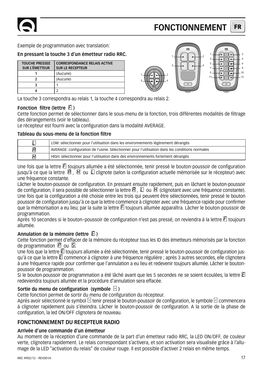#### **FR FONCTIONNEMENT**

Exemple de programmation avec translation:

#### **En pressant la touche 3 d'un émetteur radio RRC.**

| <b>TOUCHE PRESSEE</b><br><b>SUR L'ÉMETTEUR</b> | <b>CORRESPONDANCE RELAIS ACTIVE</b><br><b>SUR LE RECEPTEUR</b> |
|------------------------------------------------|----------------------------------------------------------------|
|                                                | (Aucune)                                                       |
|                                                | (Aucune)                                                       |
|                                                |                                                                |
|                                                |                                                                |



La touche 3 correspondra au relais 1, la touche 4 correspondra au relais 2.

#### **Fonction filtre (lettre FI)**

Cette fonction permet de sélectionner dans le sous-menu de la fonction, trois différentes modalités de filtrage des dérangements (voir le tableau).

Le récepteur est fourni avec la configuration dans la modalité AVERAGE.

#### **Tableau du sous-menu de la fonction filtre**

| C | LOW: sélectionner pour l'utilisation dans les environnements légèrement dérangés                |
|---|-------------------------------------------------------------------------------------------------|
| Я | AVERAGE: configuration de l'usine. Sélectionner pour l'utilisation dans les conditions normales |
| П | HIGH: sélectionner pour l'utilisation dans des environnements fortement dérangés                |

Une fois que la lettre  $\mathbb E$  toujours allumée a été sélectionnée, tenir pressé le bouton-poussoir de configuration jusqu'à ce que la lettre  $B$ .  $\mathbb H$  ou  $\mathbb L$  clignote (selon la configuration actuelle mémorisée sur le récepteur) avec une fréquence constante.

Lâcher le bouton-poussoir de configuration. En pressant ensuite rapidement, puis en lâchant le bouton-poussoir de configuration, il sera possible de sélectionner la lettre  $\boxtimes$ .  $\square$  ou  $\boxtimes$  (clignotant avec une fréquence constante). Une fois que la configuration a été choisie entre les trois qui peuvent être sélectionnées, tenir pressé le bouton poussoir de configuration jusqu'à ce que la lettre commence à clignoter avec une fréquence rapide pour confirmer que la mémorisation a eu lieu; par la suite la lettre E toujours allumée apparaîtra. Lâcher le bouton-poussoir de programmation.

Après 10 secondes si le bouton–poussoir de configuration n'est pas pressé, on reviendra à la lettre  $E$  toujours allumée.

#### **Annulation de la mémoire (lettre )**

Cette fonction permet d'effacer de la mémoire du récepteur tous les ID des émetteurs mémorisés par la fonction de programmation  $\Box$  ou  $\Box$ .

Une fois que la lettre E toujours allumée a été sélectionnée, tenir pressé le bouton-poussoir de configuration jusqu'à ce que la lettre  $\Box$  commence à clignoter à une fréquence régulière ; après 3 autres secondes, elle clignotera à une fréquence rapide pour confirmer que l'annulation a eu lieu et redevenir toujours allumée. Lâcher le boutonpoussoir de programmation.

Si le bouton-poussoir de programmation a été lâché avant que les 5 secondes ne se soient écoulées, la lettre redeviendra toujours allumée et la procédure d'annulation sera effacée.

#### Sortie du menu de configuration (symbole  $\Box$ )

Cette fonction permet de sortir du menu de configuration du récepteur.

Après avoir sélectionné le symbol  $\boxdot$  tenir pressé le bouton-poussoir de configuration, le symbole  $\boxdot$  commencera à clignoter rapidement puis s'éteindra. Lâcher le bouton-poussoir de configuration. A la sortie de la phase de configuration, la led ON/OFF clignotera de nouveau.

#### **FONCTIONNEMENT DU RECEPTEUR RADIO**

#### **Arrivée d'une commande d'un émetteur**

Au moment de la réception d'une commande de la part d'un émetteur radio RRC, la LED ON/OFF, de couleur verte, clignotera rapidement. Le relais correspondant s'activera, et son activation sera visualisée grâce à l'allumage de la LED "activation du relais" de couleur rouge. Il est possible d'activer 2 relais en même temps.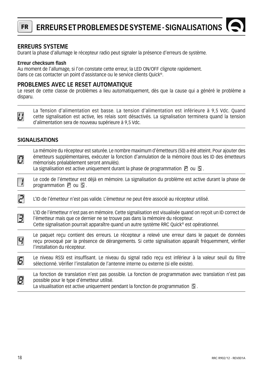**FR**

#### **ERREURS SYSTEME**

Durant la phase d'allumage le récepteur radio peut signaler la présence d'erreurs de système.

#### **Erreur checksum flash**

Au moment de l'allumage, si l'on constate cette erreur, la LED ON/OFF clignote rapidement. Dans ce cas contacter un point d'assistance ou le service clients Quick®.

#### **PROBLEMES AVEC LE RESET AUTOMATIQUE**

Le reset de cette classe de problèmes a lieu automatiquement, dès que la cause qui a généré le problème a disparu.

 $^{\prime}$ 

La Tension d'alimentation est basse. La tension d'alimentation est inférieure à 9,5 Vdc. Quand cette signalisation est active, les relais sont désactivés. La signalisation terminera quand la tension d'alimentation sera de nouveau supérieure à 9,5 Vdc.

#### **SIGNALISATIONS**

| $\boldsymbol{\varOmega}$ | La mémoire du récepteur est saturée. Le nombre maximum d'émetteurs (50) a été atteint. Pour ajouter des<br>émetteurs supplémentaires, exécuter la fonction d'annulation de la mémoire (tous les ID des émetteurs<br>mémorisés préalablement seront annulés).<br>La signalisation est active uniquement durant la phase de programmation $\mathbb P$ ou $\mathbb S$ . |
|--------------------------|----------------------------------------------------------------------------------------------------------------------------------------------------------------------------------------------------------------------------------------------------------------------------------------------------------------------------------------------------------------------|
|                          | Le code de l'émetteur est déjà en mémoire. La signalisation du problème est active durant la phase de<br>programmation $P$ ou $\Box$ .                                                                                                                                                                                                                               |
|                          | L'ID de l'émetteur n'est pas valide. L'émetteur ne peut être associé au récepteur utilisé.                                                                                                                                                                                                                                                                           |
| $\overline{\mathbf{E}}$  | L'ID de l'émetteur n'est pas en mémoire. Cette signalisation est visualisée quand on recoit un ID correct de<br>l'émetteur mais que ce dernier ne se trouve pas dans la mémoire du récepteur.<br>Cette signalisation pourrait apparaître quand un autre système RRC Quick® est opérationnel.                                                                         |
| 4                        | Le paquet recu contient des erreurs. Le récepteur a relevé une erreur dans le paquet de données<br>reçu provoqué par la présence de dérangements. Si cette signalisation apparaît fréquemment, vérifier<br>l'installation du récepteur.                                                                                                                              |
| $\overline{5}$           | Le niveau RSSI est insuffisant. Le niveau du signal radio reçu est inférieur à la valeur seuil du filtre<br>sélectionné. Vérifier l'installation de l'antenne interne ou externe (si elle existe).                                                                                                                                                                   |
| $\overline{B}$           | La fonction de translation n'est pas possible. La fonction de programmation avec translation n'est pas<br>possible pour le type d'émetteur utilisé.<br>La visualisation est active uniquement pendant la fonction de programmation $\boxed{5}$ .                                                                                                                     |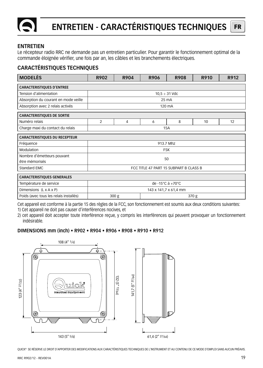

#### **ENTRETIEN**

Le récepteur radio RRC ne demande pas un entretien particulier. Pour garantir le fonctionnement optimal de la commande éloignée vérifier, une fois par an, les câbles et les branchements électriques.

### **CARACTÉRISTIQUES TECHNIQUES**

| <b>MODELÈS</b>                         | R902                                                   | R904      | <b>R906</b> | <b>R908</b>        | R910 | R912 |  |
|----------------------------------------|--------------------------------------------------------|-----------|-------------|--------------------|------|------|--|
| <b>CARACTERISTIQUES D'ENTREE</b>       |                                                        |           |             |                    |      |      |  |
| Tension d'alimentation                 |                                                        |           |             | $10,5 \div 31$ Vdc |      |      |  |
| Absorption du courant en mode veille   |                                                        |           |             | 25 mA              |      |      |  |
| Absorption avec 2 relais activés       |                                                        |           |             | 120 mA             |      |      |  |
| <b>CARACTERISTIQUES DE SORTIE</b>      |                                                        |           |             |                    |      |      |  |
| Numéro relais                          | $\overline{2}$                                         | 4         | 6           | 8                  | 10   | 12   |  |
| Charge maxi du contact du relais       | 15A                                                    |           |             |                    |      |      |  |
| <b>CARACTERISTIQUES DU RECEPTEUR</b>   |                                                        |           |             |                    |      |      |  |
| Fréquence                              |                                                        | 913.7 Mhz |             |                    |      |      |  |
| Modulation                             | <b>FSK</b>                                             |           |             |                    |      |      |  |
| Nombre d'émetteurs pouvant             | 50                                                     |           |             |                    |      |      |  |
| être mémorisés                         |                                                        |           |             |                    |      |      |  |
|                                        | Standard EMC<br>FCC TITLE 47 PART 15 SUBPART B CLASS B |           |             |                    |      |      |  |
| <b>CARACTERISTIQUES GENERALES</b>      |                                                        |           |             |                    |      |      |  |
| Température de service                 | de -15°C à +70°C                                       |           |             |                    |      |      |  |
| Dimensions (L x A x P)                 | 143 x 141,7 x 61,4 mm                                  |           |             |                    |      |      |  |
| Poids (avec tous les relais installés) | 300 <sub>g</sub><br>370 g                              |           |             |                    |      |      |  |

Cet appareil est conforme à la partie 15 des règles de la FCC, son fonctionnement est soumis aux deux conditions suivantes:

1) Cet appareil ne doit pas causer d'interférences nocives, et

2) cet appareil doit accepter toute interférence reçue, y compris les interférences qui peuvent provoquer un fonctionnement indésirable.

#### **DIMENSIONS mm (inch) • R902 • R904 • R906 • R908 • R910 • R912**



QUICK® SE RÉSERVE LE DROIT D'APPORTER DES MODIFICATIONS AUX CARACTÉRISTIQUES TECHNIQUES DE L'INSTRUMENT ET AU CONTENU DE CE MODE D'EMPLOI SANS AUCUN PRÉAVIS.

**FR**